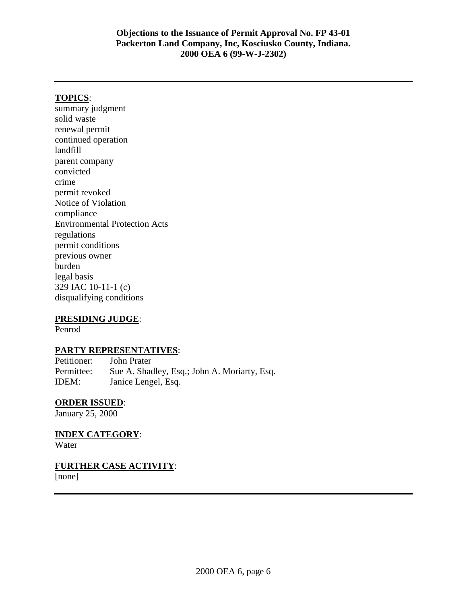## **TOPICS**:

summary judgment solid waste renewal permit continued operation landfill parent company convicted crime permit revoked Notice of Violation compliance Environmental Protection Acts regulations permit conditions previous owner burden legal basis 329 IAC 10-11-1 (c) disqualifying conditions

#### **PRESIDING JUDGE**:

Penrod

#### **PARTY REPRESENTATIVES**:

Petitioner: John Prater Permittee: Sue A. Shadley, Esq.; John A. Moriarty, Esq. IDEM: Janice Lengel, Esq.

#### **ORDER ISSUED**:

January 25, 2000

**INDEX CATEGORY**:

Water

**FURTHER CASE ACTIVITY**:

[none]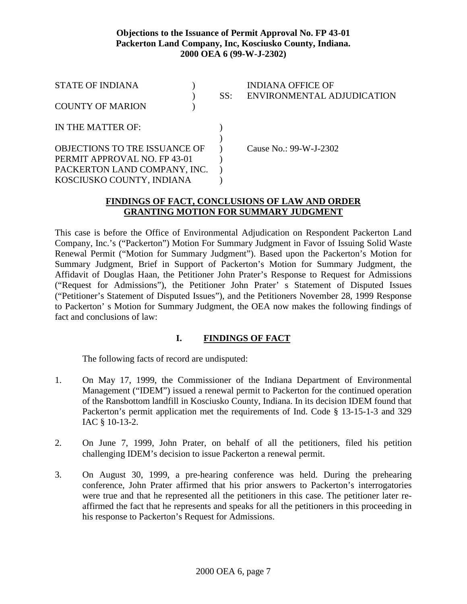| <b>STATE OF INDIANA</b>              |  | SS: | <b>INDIANA OFFICE OF</b><br>ENVIRONMENTAL ADJUDICATION |
|--------------------------------------|--|-----|--------------------------------------------------------|
| <b>COUNTY OF MARION</b>              |  |     |                                                        |
| IN THE MATTER OF:                    |  |     |                                                        |
| <b>OBJECTIONS TO TRE ISSUANCE OF</b> |  |     | Cause No.: 99-W-J-2302                                 |
| PERMIT APPROVAL NO. FP 43-01         |  |     |                                                        |
| PACKERTON LAND COMPANY, INC.         |  |     |                                                        |
| KOSCIUSKO COUNTY, INDIANA            |  |     |                                                        |

## **FINDINGS OF FACT, CONCLUSIONS OF LAW AND ORDER GRANTING MOTION FOR SUMMARY JUDGMENT**

This case is before the Office of Environmental Adjudication on Respondent Packerton Land Company, Inc.'s ("Packerton") Motion For Summary Judgment in Favor of Issuing Solid Waste Renewal Permit ("Motion for Summary Judgment"). Based upon the Packerton's Motion for Summary Judgment, Brief in Support of Packerton's Motion for Summary Judgment, the Affidavit of Douglas Haan, the Petitioner John Prater's Response to Request for Admissions ("Request for Admissions"), the Petitioner John Prater' s Statement of Disputed Issues ("Petitioner's Statement of Disputed Issues"), and the Petitioners November 28, 1999 Response to Packerton' s Motion for Summary Judgment, the OEA now makes the following findings of fact and conclusions of law:

# **I. FINDINGS OF FACT**

The following facts of record are undisputed:

- 1. On May 17, 1999, the Commissioner of the Indiana Department of Environmental Management ("IDEM") issued a renewal permit to Packerton for the continued operation of the Ransbottom landfill in Kosciusko County, Indiana. In its decision IDEM found that Packerton's permit application met the requirements of Ind. Code § 13-15-1-3 and 329 IAC § 10-13-2.
- 2. On June 7, 1999, John Prater, on behalf of all the petitioners, filed his petition challenging IDEM's decision to issue Packerton a renewal permit.
- 3. On August 30, 1999, a pre-hearing conference was held. During the prehearing conference, John Prater affirmed that his prior answers to Packerton's interrogatories were true and that he represented all the petitioners in this case. The petitioner later reaffirmed the fact that he represents and speaks for all the petitioners in this proceeding in his response to Packerton's Request for Admissions.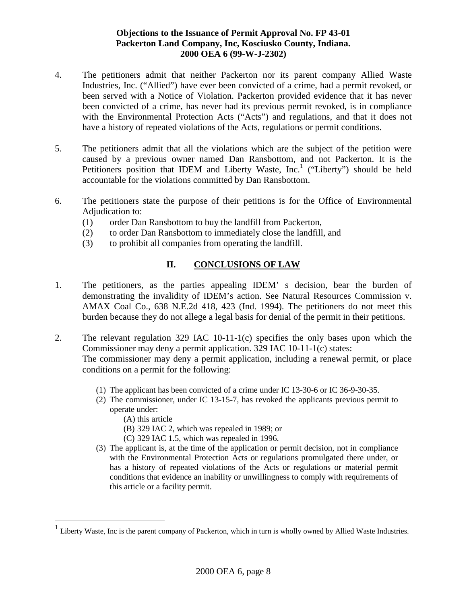- 4. The petitioners admit that neither Packerton nor its parent company Allied Waste Industries, Inc. ("Allied") have ever been convicted of a crime, had a permit revoked, or been served with a Notice of Violation. Packerton provided evidence that it has never been convicted of a crime, has never had its previous permit revoked, is in compliance with the Environmental Protection Acts ("Acts") and regulations, and that it does not have a history of repeated violations of the Acts, regulations or permit conditions.
- 5. The petitioners admit that all the violations which are the subject of the petition were caused by a previous owner named Dan Ransbottom, and not Packerton. It is the Petitioners position that IDEM and Liberty Waste, Inc.<sup>1</sup> ("Liberty") should be held accountable for the violations committed by Dan Ransbottom.
- 6. The petitioners state the purpose of their petitions is for the Office of Environmental Adjudication to:
	- (1) order Dan Ransbottom to buy the landfill from Packerton,
	- (2) to order Dan Ransbottom to immediately close the landfill, and
	- (3) to prohibit all companies from operating the landfill.

# **II. CONCLUSIONS OF LAW**

- 1. The petitioners, as the parties appealing IDEM' s decision, bear the burden of demonstrating the invalidity of IDEM's action. See Natural Resources Commission v. AMAX Coal Co., 638 N.E.2d 418, 423 (Ind. 1994). The petitioners do not meet this burden because they do not allege a legal basis for denial of the permit in their petitions.
- 2. The relevant regulation 329 IAC 10-11-1(c) specifies the only bases upon which the Commissioner may deny a permit application. 329 IAC 10-11-1(c) states: The commissioner may deny a permit application, including a renewal permit, or place conditions on a permit for the following:
	- (1) The applicant has been convicted of a crime under IC 13-30-6 or IC 36-9-30-35.
	- (2) The commissioner, under IC 13-15-7, has revoked the applicants previous permit to operate under:
		- (A) this article

<u>.</u>

- (B) 329 IAC 2, which was repealed in 1989; or
- (C) 329 IAC 1.5, which was repealed in 1996.
- (3) The applicant is, at the time of the application or permit decision, not in compliance with the Environmental Protection Acts or regulations promulgated there under, or has a history of repeated violations of the Acts or regulations or material permit conditions that evidence an inability or unwillingness to comply with requirements of this article or a facility permit.

<sup>&</sup>lt;sup>1</sup> Liberty Waste, Inc is the parent company of Packerton, which in turn is wholly owned by Allied Waste Industries.